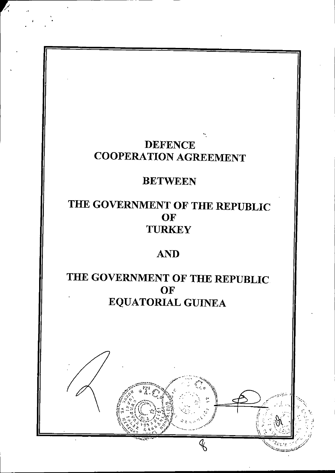# **DEFENCE COOPERATION AGREEMENT**

 $\mathcal{V}_\mathbf{c}$ 

# **BETWEEN**

# THE GOVERNMENT OF THE REPUBLIC  $OF$ **TURKEY**

# **AND**

# THE GOVERNMENT OF THE REPUBLIC. OF EQUATORIAL GUINEA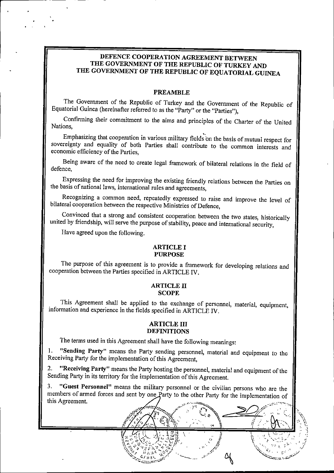#### DEFENCE COOPERATION AGREEMENT BETWEEN THE GOVERNMENT OF THE REPUBLIC OF TURKEY AND THE GOVERNMENT OF THE REPUBLIC OF EQUATORIAL GUINEA

#### **PREAMBLE**

The Government of the Republic of Turkey and the Government of the Republic of Equatorial Guinea (hereinafter referred to as the "Party" or the "Parties"),

Confirming their commitment to the aims and principles of the Charter of the United Nations.

Emphasizing that cooperation in various military fields on the basis of mutual respect for sovereignty and equality of both Parties shall contribute to the common interests and economic efficiency of the Parties,

Being aware of the need to create legal framework of bilateral relations in the field of defence.

Expressing the need for improving the existing friendly relations between the Parties on the basis of national laws, international rules and agreements,

Recognizing a common need, repeatedly expressed to raise and improve the level of bilateral cooperation between the respective Ministries of Defence,

Convinced that a strong and consistent cooperation between the two states, historically united by friendship, will serve the purpose of stability, peace and international security,

Have agreed upon the following.

#### **ARTICLE I PURPOSE**

The purpose of this agreement is to provide a framework for developing relations and cooperation between the Parties specified in ARTICLE IV.

#### **ARTICLE II SCOPE**

This Agreement shall be applied to the exchange of personnel, material, equipment, information and experience in the fields specified in ARTICLE IV.

#### **ARTICLE III DEFINITIONS**

The terms used in this Agreement shall have the following meanings:

"Sending Party" means the Party sending personnel, material and equipment to the 1. Receiving Party for the implementation of this Agreement,

"Receiving Party" means the Party hosting the personnel, material and equipment of the  $2.$ Sending Party in its territory for the implementation of this Agreement.

"Guest Personnel" means the military personnel or the civilian persons who are the  $3.$ members of armed forces and sent by one Party to the other Party for the implementation of this Agreement.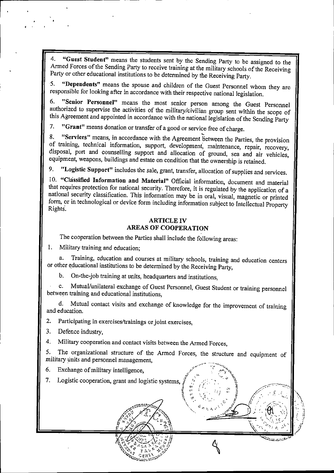4. "Guest Student" means the students sent by the Sending Party to be assigned to the Armed Forces of the Sending Party to receive training at the military schools of the Receiving Party or other educational institutions to be determined by the Receiving Party.

5. "Dependents" means the spouse and children of the Guest Personnel vvhom they are responsible for looking after in accordance with their respective national legislation.

6. "Senior Personnel" means the most senior person among the Guest Personnel authorized to supervise the activities of the military/civîlian group sent within the seope of this Ağreement and appointed in accordance vvith the national legislation of the Sending Party

7. "Grant" means donation or transfer of a good or service free of charge.

8. "Services" means, in accordance with the Agreement between the Parties, the provision of training, technical information, support, development, maintenance, repair, recovery, disposal, port and counselling support and allocation of ground, sea and air vehicles, equipment, weapons, buildings and estate on condition that the ovvnership is retained.

9. "Logistic Support" includes the sale, grant, transfer, allocation of supplies and services.

10. «Classifıed information and Material" Offıcial information, document and material that requires protection for national security. Therefore, ît is regulated by the application of a national security classification. This information may be in oral, visual, magnetic or printed form, or in technological or device form inciuding information subject to Intellectual Property Rights.

#### **ARTICLE IV** AREAS OF COOPERATION

The cooperation between the Parties shall inelude the folIowing areas:

1. Military training and education;

a. Training, education and courses at military schools, training and education centers or other educational institutions to be determined by the Receiving Party,

b. On-the-job training at units, headquarters and institutions,

c. Mutual/unilateral exchange of Guest Personnel, Guest Student or training personnel between training and educational institutions,

d. Mutual contact visits and exchange of knowledge for the improvement of training and education.

2. Participating in exercises/trainings or joint exercises,

3. Defence industry,

4. Military cooperation and contact visits between the Armed Forces,

5. The organizational structure of the Armed Forces, the structure and equipment of military units and personnel management,

11

 $\rightarrow$ 

• • il

:<br>,<br>,<br>,

6. Exchange of military intelligence,

7. Logistic cooperation, grant and logistic systems, ^

f'jt

 $\tilde{\mathbf{h}}$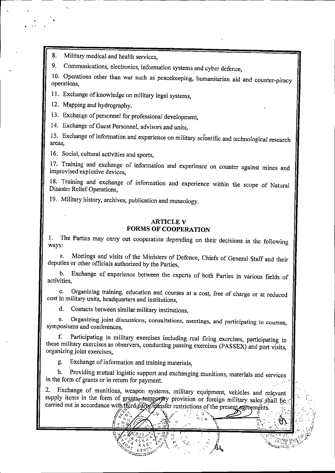8. Military medical and health services,

9. Communications, electronics, information systems and cyber defence,

10. Operations other than war such as peacekeeping, humanitarian aid and counter-piracy operations,

11. Exchange of knowledge on military legal systems,

12. Mapping and hydrography,

13. Exchange of personnel for professional development,

14. Exchange of Guest Personnel, advisors and units,

15. Exchange of information and experience on military scientific and technological research areas,

16. Social, cultural activities and sports,

17. Training and exchange of information and experience on counter against mines and ımprovısed explosive devices,

18. Training and exchange of information and experience within the scope of Natural Disaster Relief Operations,

19. Military history, archives, publication and museology.

#### ARTICLE V FORMS OF COOPERATION

The Parties may carry out cooperation depending on their decisions in the following 1. ways:

a. Meetings and visits of the Ministers of Defence, Chiefs of General Staff and their deputies or other offîcials authorized by the Parties,

b. Exchange of experience between the experts of both Parties in various fıelds of activities,

c. Organizing training, education and courses at a cost, free of charge or at reduced cost in military units, headquarters and institutions,

d. Contacts between similar military institutions,

e. Organizing joint discussions, consultations, meetings, and participating in courses symposiums and conferences.

f. Participating in military exercises inciuding real fîring exercises, participating in these military exercises as observers, conducting passing exercises (PASSEX) and port visita organizing joint exercises, '

g. Exchange of information and training materials,

h. Providing mutual logistic support and exchanging munitions, materials and services in the form of grants or in retum for payment.

2. Exchange of munitions, weapon systems, military equipment, vehicles and relevant supply items in the form of grants temporary provision or foreign military sales shall be,  $\alpha$  carried out in accordance with third party (in the present of the present acroements) carried out in accordance with third party transfer restrictions of the present agreements.

> $\mathbf{u} = \mathbf{v}$  $\frac{1}{2}$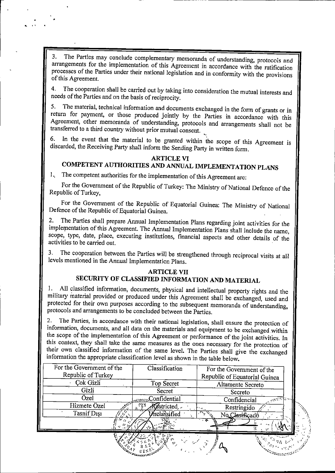3. The Parties may conclude complementary memoranda of understanding, protocols and arrangements for the implementation of this Agreement in accordance with the ratification processes of the Parties under their national legislation and in conformity with the provisions of thıs Agreement.

4. The cooperation shali be carried out by taking into consideration the mutual interests and needs of the Parties and on the basis of reciprocity.

5. The material, technical information and documents exchanged in the form of grants or in return for payment, or those produced jointly by the Parties in accordance with this Agreement, other memoranda of understanding, protocols and arrangements shall not be transferred to a third country without prior mutual consent.

In the event that the material to be granted within the scope of this Agreement is dıscarded, the Receiving Party shall inform the Sending Party in written form.

# ARTICLE VI<br>COMPETENT AUTHORITIES AND ANNUAL IMPLEMENTATION PLANS

I.. The competent authorities for the implementation of this Agreement are;

For the Government of the Republic of Turkey: The Ministry of National Defence of the Republic of Turkey,

For the Government of the Republic of Equatoriai Guinea: The Ministry of National Defence of the Republic of Equatorial Guinea.

2. The Parties shall prepare Annual İmplementation Plans regarding joint activities for the implementation of this Agreement. The Annual implementation Plans shall inciude the name scope, type, date, place, executing institutions, fınancial aspects and other details of the activities to be carried out.

The cooperation between the Parties will be strengthened through reciprocal visits at all levels mentioned in the Annual implementation Plans.

#### **ARTICLE VII**

## SECURITY OF CLASSIFIED İNFORMATİON AND MATERİAL

1. Ali classified information, documents, physical and intellectual property rights and the militaıy material provided or produced under this Agreement shall be exchanged, used and protected for their own purposes according to the subsequent memoranda of understanding, protocols and arrangements to be conciuded between the Parties.

2. The Parties, in accordance with their national legislation, shall ensure the protection of information, documents, and all data on the materials and equipment to be exchanged within the scope of the implementation of this Agreement or performance of the joint activities. In this context, they shall take the same measures as the ones necessary for the protection of their own classified information of the same level. The Parties shall give the exchanged information the appropriate classifıcation level as shown in the table below.

| For the Government of the | Classification       | For the Government of the                                 |
|---------------------------|----------------------|-----------------------------------------------------------|
| Republic of Turkey        |                      | Republic of Equatorial Guinea                             |
| Cok Gizli                 | Top Secret           | Altamente Secreto                                         |
| Gizli                     | Secret               | Secreto                                                   |
| Ozel                      | <b>Confidential</b>  | Confidencial<br>$\omega$ , $\omega$ , $\omega$ , $\omega$ |
| Hizmete Özel              | Estricted.           | Restringido                                               |
| Tasnif Disi               | <i>V</i> nclassified | No Clasificadó                                            |
|                           |                      | $\cdot$ $\cdot$                                           |
|                           |                      |                                                           |

 $\approx$   $\approx$   $\approx$   $\approx$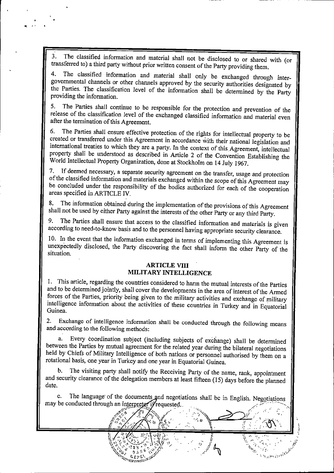3. The classified information and material shall not be disclosed to or shared with (or transferred to) a third party without prior written consent of the Party providing them.

4. The classified information and material shall only be exchanged through intergovernmental channels or other channels approved by the security authorities designated by the Parties. The classifıcation level of the information shall be determined by the Partv providing the information.

The Parties shall continue to be responsible for the protection and prevention of the release of the classification level of the exchanged classified information and material even after the termination of this Agreement.

6. The Parties shall ensure effective protection of the rights for intellectual property to be created or transferred under this Agreement in accordance with their national legislation and ıntematıonal treaties to which they are a party. In the context of this Agreement, intellectual property shall be understood as described in Article 2 of the Convention Establishing the World intellectual Property Organization, done at Stockholm on 14 July 1967.

7. If deemed necessaıy, a separate security agreement on the transfer, usage and protection of the classified information and materials exchanged within the scope of this Agreement may be conciuded under the responsibility of the bodies authorized for each of the cooperation areas specified in ARTİCLE IV.

8. The information obtained during the implementation of the provisions of this Agreement shall not be used by either Party against the interests of the other Party or any third Party.

9. The Parties shall ensure that access to the classified information and materials is given according to need-to-know basis and to the personnel having approprîate security clearance.

10. In the event that the information exchanged in terms of implementing this Agreement is unexpectedly disclosed, the Party discovering the fact shall inform the other Party of the situation.

#### article VIII MILITARY INTELLIGENCE

1. This article, regarding the countries considered to harm the mutual interests of the Parties and to be determined jointly, shall cover the developments in the area of interest of the Armed forces of the Parties, priority being given to the military activities and exchange of military intelligence information about the activities of these countries in Turkey and in Equatorial Guinea.

2. Exchange of intelligence information shall be conducted through the following means and according to the following methods:

a. Every coordination subject (including subjects of exchange) shall be determined between the Parties by mutual agreement for the related year during the bilateral negotiations held by Chiefs of Military Intelligence of both nations or personnel authorised by them on a rotational basis, one year in Turkey and one year in Equatorial Guinea.

b. The visiting party shall notify the Receiving Party of the name, rank, appointment and security clearance of the delegation members at least fıfteen (15) days before the planned date.

c. The language of the documents and negotiations shall be in English. Negotiations may be conducted through an interpreter if requested..

■K'

a S<sub>am</sub>ey (199<sup>3)</sup>

>r.> »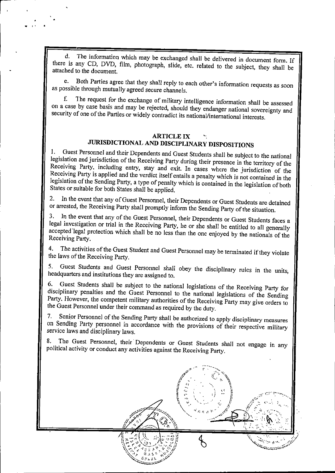d. The information which may be exchanged shall be delivered in document form. If there is any CD, DVD, film, photograph, slide, etc. related to the subject, they shall be attached to the document.

e. Both Parties agree that they shall reply to each other's information requests as soon as possıble through mutually agreed secure channels.

f. The request for the exchange of militaıy intelligence information shall be assessed on a case by case basıs and may be rejected. should they endanger national sovereignty and security of one of the Parties or widely contradict its national/international interests.

#### **ARTICLE IX** JURISDICTIONAL AND DISCIPLINARY DISPOSITIONS

Guest Personnel and their Dependents and Guest Students shall be subject to the national legislation and jurisdiction of the Receiving Party during their presence in the territory of the Receiving Party, including entry, stay and exit. In cases where the jurisdiction of the Receiving Party is applied and the verdict itself entails a penalty which is not contained in the legislation of the Sending Party, a type of penalty which is contained in the legislation of both States or suitable for both States shall be applied.

2. In the event that any of Guest Personnel, their Dependents or Guest Students are detained or arrested, the Receiving Party shall promptly inform the Sending Party of the situation.

3. In the event that any of the Guest Personnel, their Dependents or Guest Students faces a legal investigation or trial in the Receiving Party, he or she shall be entitled to all generally accepted legal protection which shall be no less than the one enjoyed by the nationals of the Receiving Party.

4. The activıtıes of the Guest Student and Guest Personnel may be terminated if they violate the laws of the Receiving Party.

5. Guest Students and Guest Personnel shall obey the disciplinary rules in the units headquarters and institutions they are assigned to. '

6. Guest Students shall be subject to the national legislations of the Receiving Party for disciplinary penalties and the Guest Personnel to the national legislations of the Sending Party. However, the competent military authorities of the Receiving Party may give orders to the Guest Personnel under their command as required by the duty.

7. Senipr Personnel of the Sending Party shall be authorized to apply disciplinary measures on Sending Party personnel in accordance with the provisions of their respective military service laws and disciplinary laws.

The Guest Personnel, their Dependents or Guest Students shall not engage in any political activity or conduct any activities against the Receiving Party.

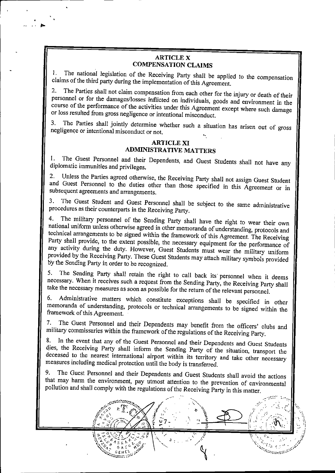#### ARTICLE X COMPENSATION CLAIMS

1. The national legislation of the Receiving Party shall be applied to the compensation claims of the third party during the implementation of this Agreement.

2. The Parties shall not claim compensation from each other for the injury or death of their personnel or for the damages/losses inflicted on individuals, goods and environment in the course of the performance of the activities under this Agreement except where such damage or loss resuited from gross negligence or intentional misconduct.

3. The Parties shall jointly determine vvhether such a situation has arisen out of gross negligence or intentional misconduct or not.

#### ARTICLE XI ADMIMSTRATIVE MATTERS

1. The Guest Personnel and their Dependents, and Guest Students shall not have any diplomatic immunities and privileges.

2. Unless the Parties agreed otherwise, the Receiving Party shall not assign Guest Student and Guest Personnel to the duties other than those specified in this Agreement or in subsequent agreements and arrangements.

3. The Guest Student and Guest Personnel shall be subject to the same administrative procedures as theır counterparts in the Receiving Party.

4. The military personnel of the Sending Party shall have the right to wear their own national uniform unless otherwise agreed in other memoranda of understanding, protocols and technical arrangements to be signed within the framework of this Agreement. The Receiving Party shall provide, to the extent possible, the necessary equipment for the performance of any activity during the duty. However, Guest Students must wear the military uniform provıded by the Receiving Party. These Guest Students may attach military symbols provided by the Sendıng Party ın order to be recognized.

5. The Sending Party shall retain the right to call back its personnel when it deems necessary. When it receives such a request from the Sending Party, the Receiving Party shall take the necessary measures as soon as possible for the return of the relevant personnel.

6. Administrative matters which constitute exceptions shall be specified in other memoranda of understanding, protocols or technical arrangements to be signed within the framework of this Agreement.

7. The Guest Personnel and their Dependents may benefit from the officers' clubs and military commissaries within the framework of the regulations of the Receiving Party.

In the event that any of the Guest Personnel and their Dependents and Guest Students 8. dıes, the Receiving Party shall inform the Sending Party of the situation, transport the deceased to the nearest international airport within its territory and take other necessary measures inciuding medical protection until the body is transferred.

The Guest Personnel and their Dependents and Guest Students shall avoid the actions that may harm the environment, pay utmost attention to the prevention of environmental pollution and shall comply with the regulations of the Receiving Party in this matter.

 $\frac{1}{2}$  ;

yC^

 $\{z \in \mathbb{R} \mid \{z \in \mathbb{R} \mid \mathcal{Z} \} \}$ 

 $\epsilon$  H  $\epsilon_{\rm H}$  y

j<u>is-aff</u>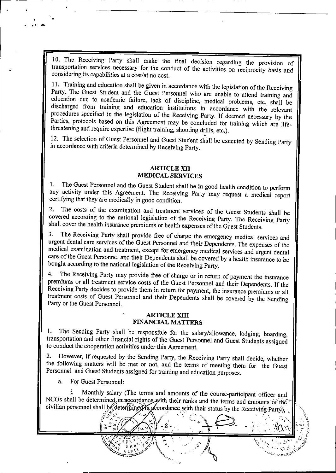10. The Receiving Party shall make the final decision regarding the provision of transportation services necessary for the conduct of the activities on reciprocity basis and consıdering its capabilities at a cost/at no cost.

11. Training and education shall be given in accordance with the legislation of the Receiving Party. The Guest Student and the Guest Personnel who are unable to attend training and education due to academic failure, lack of discipline, medical probiems, ete. shall be discharged from training and education institutions in accordance with the relevant procedures specified in the legislation of the Receiving Party. If deemed necessaıy by the Parties, protocols based on this Agreement may be concluded for training which are lifethreatening and require expertise (flight training, shooting drills, etc.).

12. The selection of Guest Personnei and Guest Student shâll be executed by Sending Party in accordance with criteria determined by Receiving Party.

#### **ARTICLE XII** medical services

1. The Guest Personnei and the Guest Student shall be in good health condition to perform any activity under this Agreement. The Receiving Party may request a medical report certifying that they are medically in good condition.

2. The costs of the exammation and treatment services of the Guest Students shall be covered according to the national legislation of the Receiving Party. The Receiving Party shall cover the health insurance premiums or health expenses of the Guest Students.

3. The Receiving Party shall provide free of charge the emergency medical services and urgent dental care services of the Guest Personnei and their Dependents. The expenses of the medical examination and treatment, except for emergency medical services and urgent dental care of the Guest Personnel and their Dependents shall be covered by a health insurance to be bought according to the national legislation of the Receiving Party.

4. The Receiving Party may provide free of charge or in retum of payment the insurance premiums or ali treatment service costs of the Guest Personnei and their Dependents. If the Receiving Party decides to provide them in return for payment, the insurance premiums or ali treatment costs of Guest Personnei and their Dependents shall be covered by the Sending Party or the Guest Personnei.

#### **ARTICLE XIII** FINANCIAL MATTERS

1. The Sending Party shall be responsible for the salary/allowance, lodging, boarding transportation and other fmancial rights of the Guest Personnei and Guest Students assigned to conduct the cooperation activities under this Agreement.

2. However, if requested by the Sending Party, the Receiving Party shall decide, whether the following matters will be met or not, and the terms of meeting them for the Guest Personnel and Guest Students assigned for training and education purposes.

a. For Guest Personnei:

i. Monthly salary (The terms and amounts of the course-participant officer and NCOs shall be determined in accordance with their ranks and the terms and amounts of the civilian personnel shall be determinged in accordance with their status by the Receiving Party),

-8-

■;

'V/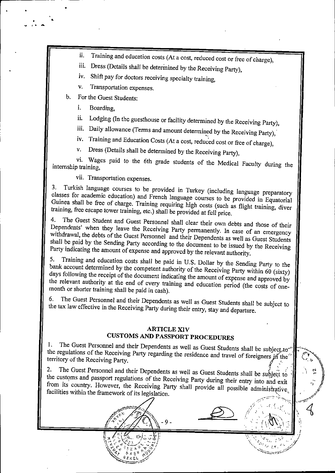- ii. Training and education costs (At a cost, reduced cost or free of charge),
- iii. Dress (Details shall be determined by the Receiving Party),
- iv. Shift pay for doctors receiving specialty training,
- V. Transportation expenses.
- b. For the Guest Students;
	- i. Boarding,
	- ii. Lodging (In the guesthouse or facility determined by the Receiving Party),
	- iii. Daily allowance (Terms and amount determined by the Receiving Party),
	- iv. Training and Education Costs (At a cost, reduced cost or free of charge),
	- V. Dress (Details shall be determined by the Receiving Party),

vi. Wages paid to the 6th grade students of the Medical Faculty during the internship training.

vii. Transportation expenses.

3. Turkish language courses to be provided in Turkey (including language preparatory classes for academic education) and French language courses to be provided in Equatorial Guinea shall be free of charge. Training requiring high costs (such as flight training, diver training, free escape tower training, ete.) shall be provided at full price.

4. The Guest Student and Guest Personnel shall clear their own debts and those of their Dependents' when they leave the Receiving Party permanently. In case of an emergency withdrawal, the debts of the Guest Personnel and their Dependents as well as Guest Students shall be paid by the Sending Party according to the document to be issued by the Receiving Party indicating the amount of expense and approved by the relevant authority.

5. Training and education costs shall be paid in U.S. Dollar by the Sending Party to the bank account determined by the competent authority of the Receiving Party within 60 (sixty) days following the receipt of the document indicating the amount of expense and approved by the relevant authority at the end of every training and education period (the costs of onemonth or shorler training shall be paid in cash).

The Guest Personnel and their Dependents as well as Guest Students shall be subject to the tax law effective in the Receiving Party during their entry, stay and departure.

#### ARTICLE XIV CUSTOMS AND PASSPORT PROCEDURES

1. The Guest Personnel and their Dependents as well as Guest Students shall be subject.to' the regulations of the Receiving Party regarding the residence and travel of foreigners jn the territory of the Receiving Party.

2. The Guest Personnel and their Dependents as well as Guest Students shall be subject to the customs and passport regulations of the Receiving Party during their entıy into and exit from its country. However, the Receiving Party shall provide all possible administrative facilities within the framework of its legislation.

City of the City of

9-

 $\mathcal{N} \in \mathbb{R}$  ,  $\mathcal{N} \in \mathbb{R}$  $\sqrt{2} \, \frac{1}{2} \, \frac{1}{2} \, \frac{1}{2} \, \frac{1}{2} \, \frac{1}{2} \, \frac{1}{2} \, \frac{1}{2} \, \frac{1}{2} \, \frac{1}{2} \, \frac{1}{2} \, \frac{1}{2} \, \frac{1}{2} \, \frac{1}{2} \, \frac{1}{2} \, \frac{1}{2} \, \frac{1}{2} \, \frac{1}{2} \, \frac{1}{2} \, \frac{1}{2} \, \frac{1}{2} \, \frac{1}{2} \, \frac{1}{2} \, \frac{1}{2} \, \frac{1}{2$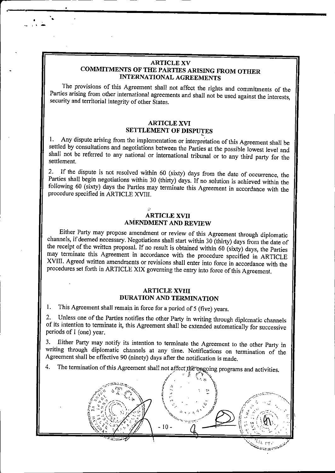#### ARTICLE XV COMMITMENTS OF THE PARTIES ARISING FROM OTHER INTERNATIGNAL AGREEMENTS

The provisions of this Agreement shall not affect the rights and commitments of the Parties arising from other international agreements and shall not be used against the interests, security and territorial integrity of other States.

#### ARTICLE XVI SETTLEMENT OF DISPUTES

1. Any dispute arising from the implementation or interpretation of this Agreement shall be settied by consultations and negotiations between the Parties at the possible lowest level and shall not be referred to any national or intemational tribunal or to any third party for the settlement.

2. If the dispute is not resolved within 60 (sixty) days from the date of occurrence, the Parties shall begin negotiations within 30 (thirty) days. If no solution is achieved within the following 60 (sixty) days the Parties may terminate this Agreement in accordance with the procedure specified in ARTICLE XVIII.

### ARTICLE XVn AMENDMENT AND REVIEW

Either Party may propose amendment or review of this Agreement through dipiomatic channels, if deemed necessary. Negotiations shall start within  $30$  (thirty) days from the date of the receipt of the written proposal. If no result is obtained within 60 (sixty) days, the Parties may terminate this Agreement in accordance with the procedure specified in ARTICLE XVIII. Agreed written amendments or revisions shall enter into force in accordance with the procedures set forth in ARTICLE XIX governing the entry into force of this Agreement.

#### ARTICLE XVin DURATION AND TERMINATION

1. This Agreement shall remain. in force for a period of 5 (five) years.

2. Unless one of the Parties notifies the other Party in writing through diplomatic channels of its ıntention to terminate it, this Agreement shall be extended automatically for successive periods of I (one) year.

3. Either Party may notify its intention to terminate the Agreement to the other Party in writing through diplomatic channels at any time. Notifications on termination of the Agreement shall be effective 90 (ninety) days after the notification is made.

4. The termination of this Agreement shall not affect the ongoing programs and activities.